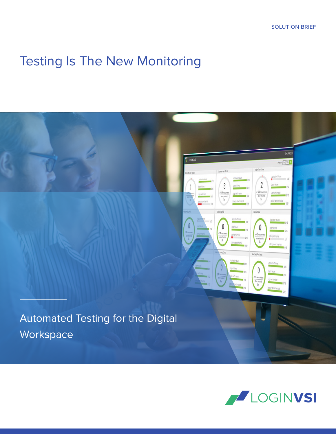# Testing Is The New Monitoring



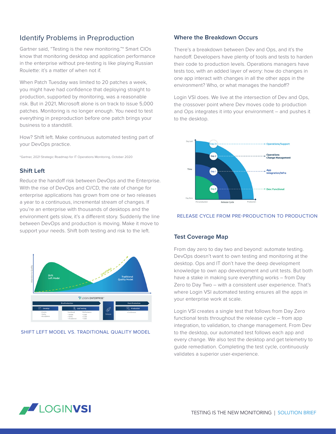## Identify Problems in Preproduction

Gartner said, "Testing is the new monitoring."\* Smart CIOs know that monitoring desktop and application performance in the enterprise without pre-testing is like playing Russian Roulette: it's a matter of when not if.

When Patch Tuesday was limited to 20 patches a week, you might have had confidence that deploying straight to production, supported by monitoring, was a reasonable risk. But in 2021, Microsoft alone is on track to issue 5,000 patches. Monitoring is no longer enough. You need to test everything in preproduction before one patch brings your business to a standstill.

How? Shift left. Make continuous automated testing part of your DevOps practice.

\*Gartner, 2021 Strategic Roadmap for IT Operations Monitoring, October 2020

#### **Shift Left**

Reduce the handoff risk between DevOps and the Enterprise. With the rise of DevOps and CI/CD, the rate of change for enterprise applications has grown from one or two releases a year to a continuous, incremental stream of changes. If you're an enterprise with thousands of desktops and the environment gets slow, it's a different story. Suddenly the line between DevOps and production is moving. Make it move to support your needs. Shift both testing and risk to the left.



#### SHIFT LEFT MODEL VS. TRADITIONAL QUALITY MODEL

#### **Where the Breakdown Occurs**

There's a breakdown between Dev and Ops, and it's the handoff. Developers have plenty of tools and tests to harden their code to production levels. Operations managers have tests too, with an added layer of worry: how do changes in one app interact with changes in all the other apps in the environment? Who, or what manages the handoff?

Login VSI does. We live at the intersection of Dev and Ops, the crossover point where Dev moves code to production and Ops integrates it into your environment – and pushes it to the desktop.



#### RELEASE CYCLE FROM PRE-PRODUCTION TO PRODUCTION

#### **Test Coverage Map**

From day zero to day two and beyond: automate testing. DevOps doesn't want to own testing and monitoring at the desktop. Ops and IT don't have the deep development knowledge to own app development and unit tests. But both have a stake in making sure everything works – from Day Zero to Day Two – with a consistent user experience. That's where Login VSI automated testing ensures all the apps in your enterprise work at scale.

Login VSI creates a single test that follows from Day Zero functional tests throughout the release cycle – from app integration, to validation, to change management. From Dev to the desktop, our automated test follows each app and every change. We also test the desktop and get telemetry to guide remediation. Completing the test cycle, continuously validates a superior user-experience.

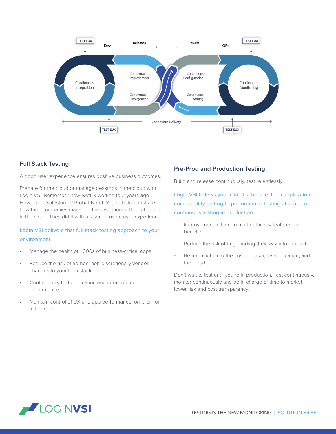

#### **Full Stack Testing**

A good user experience ensures positive business outcomes.

Prepare for the cloud or manage desktops in the cloud with Login VSI. Remember how Netflix worked four years ago? How about Salesforce? Probably not. Yet both demonstrate how their companies managed the evolution of their offerings in the cloud. They did it with a laser focus on user-experience.

#### Login VSI delivers that full-stack testing approach to your environment.

- Manage the health of 1,000s of business-critical apps
- Reduce the risk of ad-hoc, non-discretionary vendor changes to your tech stack
- Continuously test application and infrastructure performance
- Maintain control of UX and app performance, on-prem or in the cloud

#### **Pre-Prod and Production Testing**

Build and release continuously, test relentlessly.

Login VSI follows your CI/CD schedule, from application compatibility testing to performance testing at scale to continuous testing in production.

- Improvement in time-to-market for key features and benefits
- Reduce the risk of bugs finding their way into production
- Better insight into the cost per user, by application, and in the cloud

Don't wait to test until you're in production. Test continuously, monitor continuously and be in charge of time to market, lower risk and cost transparency.